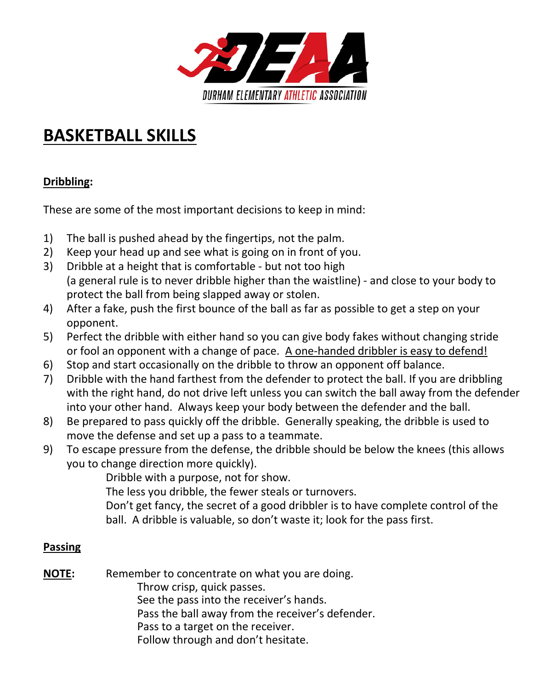

## **BASKETBALL SKILLS**

## **Dribbling:**

These are some of the most important decisions to keep in mind:

- 1) The ball is pushed ahead by the fingertips, not the palm.
- 2) Keep your head up and see what is going on in front of you.
- 3) Dribble at a height that is comfortable but not too high (a general rule is to never dribble higher than the waistline) - and close to your body to protect the ball from being slapped away or stolen.
- 4) After a fake, push the first bounce of the ball as far as possible to get a step on your opponent.
- 5) Perfect the dribble with either hand so you can give body fakes without changing stride or fool an opponent with a change of pace. A one-handed dribbler is easy to defend!
- 6) Stop and start occasionally on the dribble to throw an opponent off balance.
- 7) Dribble with the hand farthest from the defender to protect the ball. If you are dribbling with the right hand, do not drive left unless you can switch the ball away from the defender into your other hand. Always keep your body between the defender and the ball.
- 8) Be prepared to pass quickly off the dribble. Generally speaking, the dribble is used to move the defense and set up a pass to a teammate.
- 9) To escape pressure from the defense, the dribble should be below the knees (this allows you to change direction more quickly).

Dribble with a purpose, not for show.

The less you dribble, the fewer steals or turnovers.

Don't get fancy, the secret of a good dribbler is to have complete control of the ball. A dribble is valuable, so don't waste it; look for the pass first.

#### **Passing**

**NOTE:** Remember to concentrate on what you are doing. Throw crisp, quick passes. See the pass into the receiver's hands. Pass the ball away from the receiver's defender. Pass to a target on the receiver. Follow through and don't hesitate.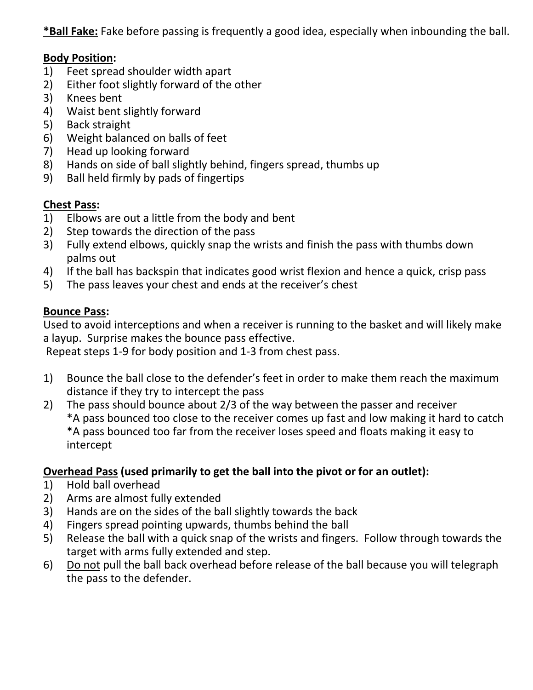**\*Ball Fake:** Fake before passing is frequently a good idea, especially when inbounding the ball.

## **Body Position:**

- 1) Feet spread shoulder width apart
- 2) Either foot slightly forward of the other
- 3) Knees bent
- 4) Waist bent slightly forward
- 5) Back straight
- 6) Weight balanced on balls of feet
- 7) Head up looking forward
- 8) Hands on side of ball slightly behind, fingers spread, thumbs up
- 9) Ball held firmly by pads of fingertips

## **Chest Pass:**

- 1) Elbows are out a little from the body and bent
- 2) Step towards the direction of the pass
- 3) Fully extend elbows, quickly snap the wrists and finish the pass with thumbs down palms out
- 4) If the ball has backspin that indicates good wrist flexion and hence a quick, crisp pass
- 5) The pass leaves your chest and ends at the receiver's chest

## **Bounce Pass:**

Used to avoid interceptions and when a receiver is running to the basket and will likely make a layup. Surprise makes the bounce pass effective.

Repeat steps 1-9 for body position and 1-3 from chest pass.

- 1) Bounce the ball close to the defender's feet in order to make them reach the maximum distance if they try to intercept the pass
- 2) The pass should bounce about 2/3 of the way between the passer and receiver \*A pass bounced too close to the receiver comes up fast and low making it hard to catch \*A pass bounced too far from the receiver loses speed and floats making it easy to intercept

## **Overhead Pass (used primarily to get the ball into the pivot or for an outlet):**

- 1) Hold ball overhead
- 2) Arms are almost fully extended
- 3) Hands are on the sides of the ball slightly towards the back
- 4) Fingers spread pointing upwards, thumbs behind the ball
- 5) Release the ball with a quick snap of the wrists and fingers. Follow through towards the target with arms fully extended and step.
- 6) Do not pull the ball back overhead before release of the ball because you will telegraph the pass to the defender.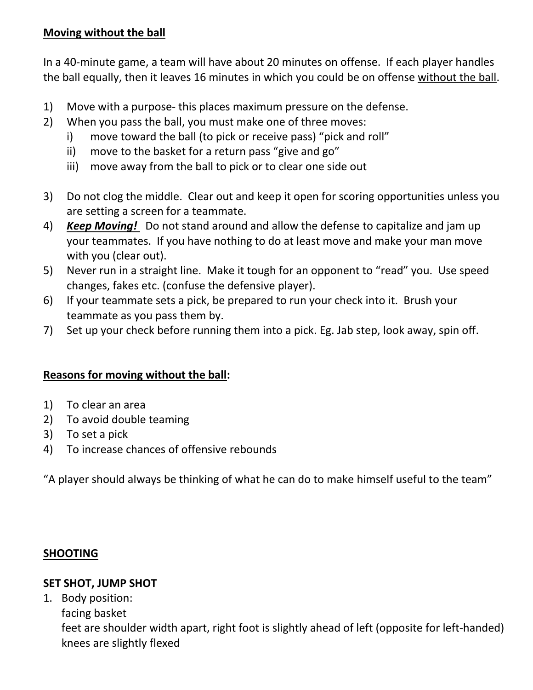## **Moving without the ball**

In a 40-minute game, a team will have about 20 minutes on offense. If each player handles the ball equally, then it leaves 16 minutes in which you could be on offense without the ball.

- 1) Move with a purpose- this places maximum pressure on the defense.
- 2) When you pass the ball, you must make one of three moves:
	- i) move toward the ball (to pick or receive pass) "pick and roll"
	- ii) move to the basket for a return pass "give and go"
	- iii) move away from the ball to pick or to clear one side out
- 3) Do not clog the middle. Clear out and keep it open for scoring opportunities unless you are setting a screen for a teammate.
- 4) *Keep Moving!* Do not stand around and allow the defense to capitalize and jam up your teammates. If you have nothing to do at least move and make your man move with you (clear out).
- 5) Never run in a straight line. Make it tough for an opponent to "read" you. Use speed changes, fakes etc. (confuse the defensive player).
- 6) If your teammate sets a pick, be prepared to run your check into it. Brush your teammate as you pass them by.
- 7) Set up your check before running them into a pick. Eg. Jab step, look away, spin off.

#### **Reasons for moving without the ball:**

- 1) To clear an area
- 2) To avoid double teaming
- 3) To set a pick
- 4) To increase chances of offensive rebounds

"A player should always be thinking of what he can do to make himself useful to the team"

#### **SHOOTING**

#### **SET SHOT, JUMP SHOT**

1. Body position: facing basket feet are shoulder width apart, right foot is slightly ahead of left (opposite for left-handed) knees are slightly flexed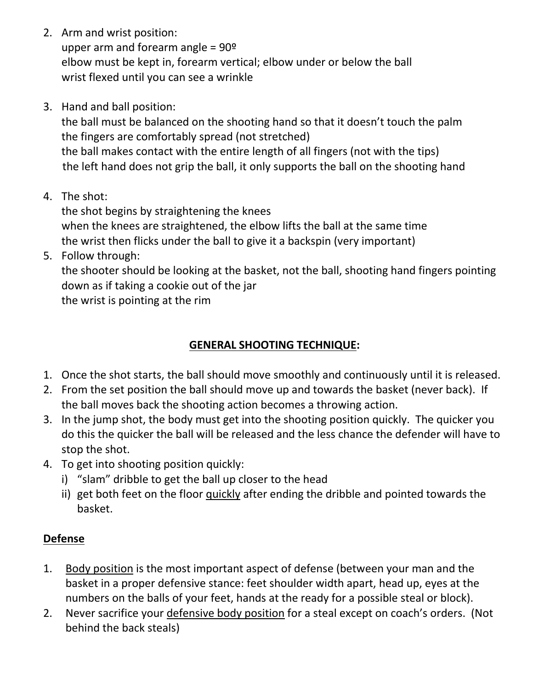2. Arm and wrist position:

upper arm and forearm angle =  $90^{\circ}$ elbow must be kept in, forearm vertical; elbow under or below the ball wrist flexed until you can see a wrinkle

3. Hand and ball position:

the ball must be balanced on the shooting hand so that it doesn't touch the palm the fingers are comfortably spread (not stretched) the ball makes contact with the entire length of all fingers (not with the tips) the left hand does not grip the ball, it only supports the ball on the shooting hand

4. The shot:

the shot begins by straightening the knees when the knees are straightened, the elbow lifts the ball at the same time the wrist then flicks under the ball to give it a backspin (very important)

5. Follow through:

the shooter should be looking at the basket, not the ball, shooting hand fingers pointing down as if taking a cookie out of the jar

the wrist is pointing at the rim

## **GENERAL SHOOTING TECHNIQUE:**

- 1. Once the shot starts, the ball should move smoothly and continuously until it is released.
- 2. From the set position the ball should move up and towards the basket (never back). If the ball moves back the shooting action becomes a throwing action.
- 3. In the jump shot, the body must get into the shooting position quickly. The quicker you do this the quicker the ball will be released and the less chance the defender will have to stop the shot.
- 4. To get into shooting position quickly:
	- i) "slam" dribble to get the ball up closer to the head
	- ii) get both feet on the floor quickly after ending the dribble and pointed towards the basket.

## **Defense**

- 1. Body position is the most important aspect of defense (between your man and the basket in a proper defensive stance: feet shoulder width apart, head up, eyes at the numbers on the balls of your feet, hands at the ready for a possible steal or block).
- 2. Never sacrifice your defensive body position for a steal except on coach's orders. (Not behind the back steals)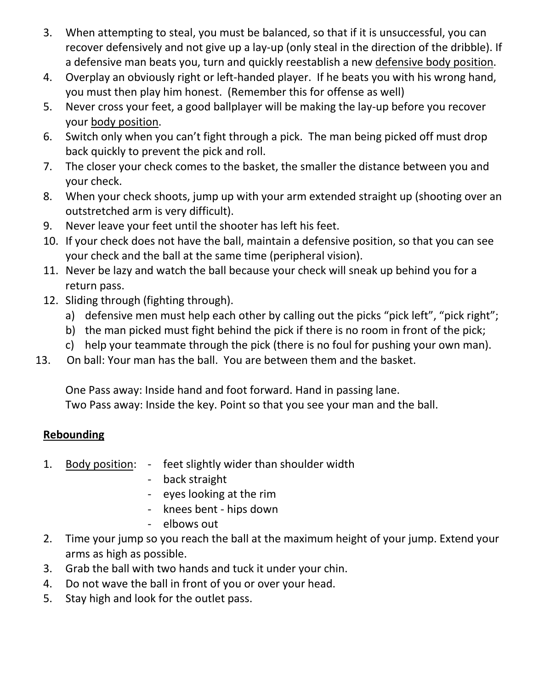- 3. When attempting to steal, you must be balanced, so that if it is unsuccessful, you can recover defensively and not give up a lay-up (only steal in the direction of the dribble). If a defensive man beats you, turn and quickly reestablish a new defensive body position.
- 4. Overplay an obviously right or left-handed player. If he beats you with his wrong hand, you must then play him honest. (Remember this for offense as well)
- 5. Never cross your feet, a good ballplayer will be making the lay-up before you recover your body position.
- 6. Switch only when you can't fight through a pick. The man being picked off must drop back quickly to prevent the pick and roll.
- 7. The closer your check comes to the basket, the smaller the distance between you and your check.
- 8. When your check shoots, jump up with your arm extended straight up (shooting over an outstretched arm is very difficult).
- 9. Never leave your feet until the shooter has left his feet.
- 10. If your check does not have the ball, maintain a defensive position, so that you can see your check and the ball at the same time (peripheral vision).
- 11. Never be lazy and watch the ball because your check will sneak up behind you for a return pass.
- 12. Sliding through (fighting through).
	- a) defensive men must help each other by calling out the picks "pick left", "pick right";
	- b) the man picked must fight behind the pick if there is no room in front of the pick;
	- c) help your teammate through the pick (there is no foul for pushing your own man).
- 13. On ball: Your man has the ball. You are between them and the basket.

One Pass away: Inside hand and foot forward. Hand in passing lane. Two Pass away: Inside the key. Point so that you see your man and the ball.

## **Rebounding**

- 1. Body position: feet slightly wider than shoulder width
	- back straight
	- eyes looking at the rim
	- knees bent hips down
	- elbows out
- 2. Time your jump so you reach the ball at the maximum height of your jump. Extend your arms as high as possible.
- 3. Grab the ball with two hands and tuck it under your chin.
- 4. Do not wave the ball in front of you or over your head.
- 5. Stay high and look for the outlet pass.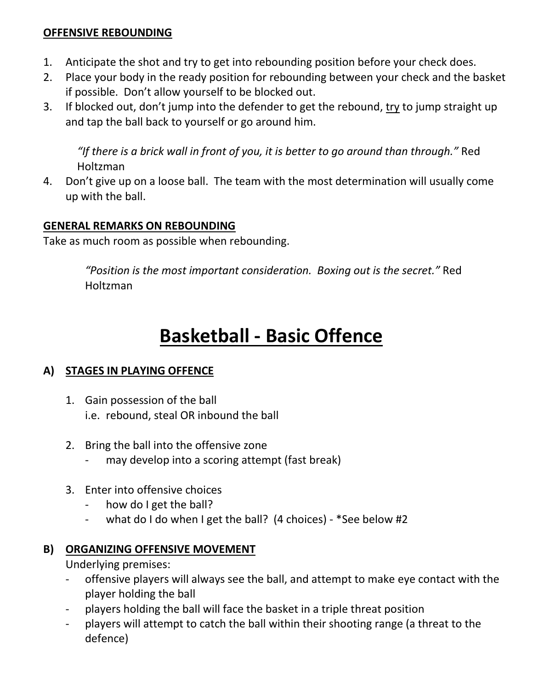## **OFFENSIVE REBOUNDING**

- 1. Anticipate the shot and try to get into rebounding position before your check does.
- 2. Place your body in the ready position for rebounding between your check and the basket if possible. Don't allow yourself to be blocked out.
- 3. If blocked out, don't jump into the defender to get the rebound, try to jump straight up and tap the ball back to yourself or go around him.

*"If there is a brick wall in front of you, it is better to go around than through."* Red Holtzman

4. Don't give up on a loose ball. The team with the most determination will usually come up with the ball.

## **GENERAL REMARKS ON REBOUNDING**

Take as much room as possible when rebounding.

*"Position is the most important consideration. Boxing out is the secret."* Red Holtzman

# **Basketball - Basic Offence**

## **A) STAGES IN PLAYING OFFENCE**

- 1. Gain possession of the ball i.e. rebound, steal OR inbound the ball
- 2. Bring the ball into the offensive zone
	- may develop into a scoring attempt (fast break)
- 3. Enter into offensive choices
	- how do I get the ball?
	- what do I do when I get the ball? (4 choices) \*See below #2

## **B) ORGANIZING OFFENSIVE MOVEMENT**

Underlying premises:

- offensive players will always see the ball, and attempt to make eye contact with the player holding the ball
- players holding the ball will face the basket in a triple threat position
- players will attempt to catch the ball within their shooting range (a threat to the defence)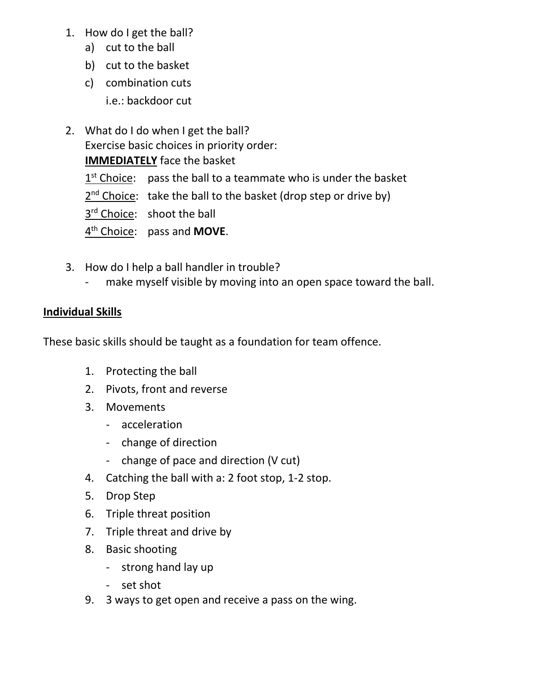- 1. How do I get the ball?
	- a) cut to the ball
	- b) cut to the basket
	- c) combination cuts i.e.: backdoor cut
- 2. What do I do when I get the ball? Exercise basic choices in priority order: **IMMEDIATELY** face the basket  $1<sup>st</sup> Choice:$  pass the ball to a teammate who is under the basket

 $2<sup>nd</sup>$  Choice: take the ball to the basket (drop step or drive by)

3<sup>rd</sup> Choice: shoot the ball

4th Choice: pass and **MOVE**.

- 3. How do I help a ball handler in trouble?
	- make myself visible by moving into an open space toward the ball.

## **Individual Skills**

These basic skills should be taught as a foundation for team offence.

- 1. Protecting the ball
- 2. Pivots, front and reverse
- 3. Movements
	- acceleration
	- change of direction
	- change of pace and direction (V cut)
- 4. Catching the ball with a: 2 foot stop, 1-2 stop.
- 5. Drop Step
- 6. Triple threat position
- 7. Triple threat and drive by
- 8. Basic shooting
	- strong hand lay up
	- set shot
- 9. 3 ways to get open and receive a pass on the wing.